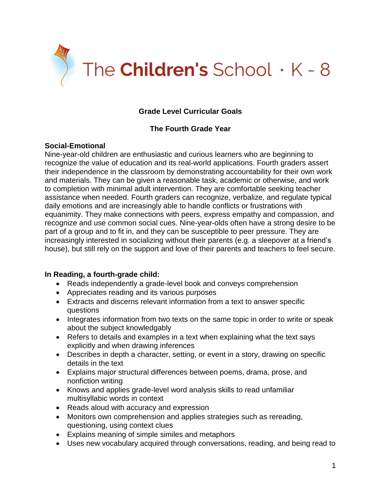

# **Grade Level Curricular Goals**

## **The Fourth Grade Year**

## **Social-Emotional**

Nine-year-old children are enthusiastic and curious learners who are beginning to recognize the value of education and its real-world applications. Fourth graders assert their independence in the classroom by demonstrating accountability for their own work and materials. They can be given a reasonable task, academic or otherwise, and work to completion with minimal adult intervention. They are comfortable seeking teacher assistance when needed. Fourth graders can recognize, verbalize, and regulate typical daily emotions and are increasingly able to handle conflicts or frustrations with equanimity. They make connections with peers, express empathy and compassion, and recognize and use common social cues. Nine-year-olds often have a strong desire to be part of a group and to fit in, and they can be susceptible to peer pressure. They are increasingly interested in socializing without their parents (e.g. a sleepover at a friend's house), but still rely on the support and love of their parents and teachers to feel secure.

#### **In Reading, a fourth-grade child:**

- Reads independently a grade-level book and conveys comprehension
- Appreciates reading and its various purposes
- Extracts and discerns relevant information from a text to answer specific questions
- Integrates information from two texts on the same topic in order to write or speak about the subject knowledgably
- Refers to details and examples in a text when explaining what the text says explicitly and when drawing inferences
- Describes in depth a character, setting, or event in a story, drawing on specific details in the text
- Explains major structural differences between poems, drama, prose, and nonfiction writing
- Knows and applies grade-level word analysis skills to read unfamiliar multisyllabic words in context
- Reads aloud with accuracy and expression
- Monitors own comprehension and applies strategies such as rereading, questioning, using context clues
- Explains meaning of simple similes and metaphors
- Uses new vocabulary acquired through conversations, reading, and being read to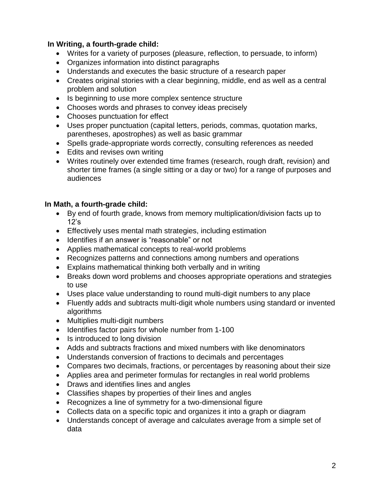## **In Writing, a fourth-grade child:**

- Writes for a variety of purposes (pleasure, reflection, to persuade, to inform)
- Organizes information into distinct paragraphs
- Understands and executes the basic structure of a research paper
- Creates original stories with a clear beginning, middle, end as well as a central problem and solution
- Is beginning to use more complex sentence structure
- Chooses words and phrases to convey ideas precisely
- Chooses punctuation for effect
- Uses proper punctuation (capital letters, periods, commas, quotation marks, parentheses, apostrophes) as well as basic grammar
- Spells grade-appropriate words correctly, consulting references as needed
- Edits and revises own writing
- Writes routinely over extended time frames (research, rough draft, revision) and shorter time frames (a single sitting or a day or two) for a range of purposes and audiences

#### **In Math, a fourth-grade child:**

- By end of fourth grade, knows from memory multiplication/division facts up to 12's
- Effectively uses mental math strategies, including estimation
- Identifies if an answer is "reasonable" or not
- Applies mathematical concepts to real-world problems
- Recognizes patterns and connections among numbers and operations
- Explains mathematical thinking both verbally and in writing
- Breaks down word problems and chooses appropriate operations and strategies to use
- Uses place value understanding to round multi-digit numbers to any place
- Fluently adds and subtracts multi-digit whole numbers using standard or invented algorithms
- Multiplies multi-digit numbers
- Identifies factor pairs for whole number from 1-100
- Is introduced to long division
- Adds and subtracts fractions and mixed numbers with like denominators
- Understands conversion of fractions to decimals and percentages
- Compares two decimals, fractions, or percentages by reasoning about their size
- Applies area and perimeter formulas for rectangles in real world problems
- Draws and identifies lines and angles
- Classifies shapes by properties of their lines and angles
- Recognizes a line of symmetry for a two-dimensional figure
- Collects data on a specific topic and organizes it into a graph or diagram
- Understands concept of average and calculates average from a simple set of data